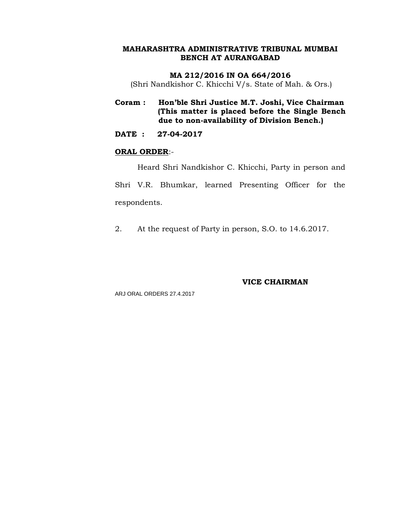**MA 212/2016 IN OA 664/2016** (Shri Nandkishor C. Khicchi V/s. State of Mah. & Ors.)

- **Coram : Hon'ble Shri Justice M.T. Joshi, Vice Chairman (This matter is placed before the Single Bench due to non-availability of Division Bench.)**
- **DATE : 27-04-2017**

# **ORAL ORDER**:-

Heard Shri Nandkishor C. Khicchi, Party in person and Shri V.R. Bhumkar, learned Presenting Officer for the respondents.

2. At the request of Party in person, S.O. to 14.6.2017.

# **VICE CHAIRMAN**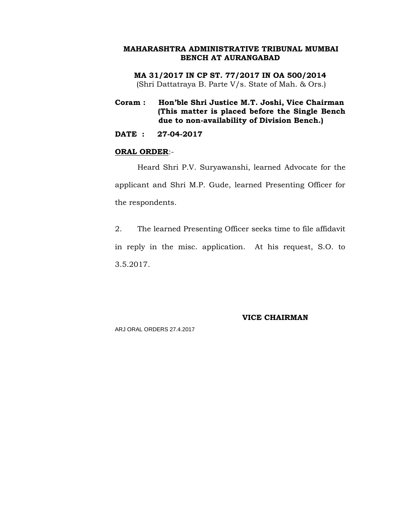**MA 31/2017 IN CP ST. 77/2017 IN OA 500/2014** (Shri Dattatraya B. Parte V/s. State of Mah. & Ors.)

**Coram : Hon'ble Shri Justice M.T. Joshi, Vice Chairman (This matter is placed before the Single Bench due to non-availability of Division Bench.)**

**DATE : 27-04-2017**

## **ORAL ORDER**:-

Heard Shri P.V. Suryawanshi, learned Advocate for the applicant and Shri M.P. Gude, learned Presenting Officer for the respondents.

2. The learned Presenting Officer seeks time to file affidavit in reply in the misc. application. At his request, S.O. to 3.5.2017.

#### **VICE CHAIRMAN**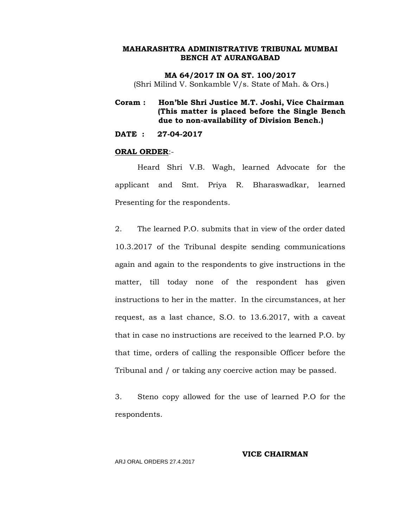**MA 64/2017 IN OA ST. 100/2017** (Shri Milind V. Sonkamble V/s. State of Mah. & Ors.)

**Coram : Hon'ble Shri Justice M.T. Joshi, Vice Chairman (This matter is placed before the Single Bench due to non-availability of Division Bench.)**

**DATE : 27-04-2017**

## **ORAL ORDER**:-

Heard Shri V.B. Wagh, learned Advocate for the applicant and Smt. Priya R. Bharaswadkar, learned Presenting for the respondents.

2. The learned P.O. submits that in view of the order dated 10.3.2017 of the Tribunal despite sending communications again and again to the respondents to give instructions in the matter, till today none of the respondent has given instructions to her in the matter. In the circumstances, at her request, as a last chance, S.O. to 13.6.2017, with a caveat that in case no instructions are received to the learned P.O. by that time, orders of calling the responsible Officer before the Tribunal and / or taking any coercive action may be passed.

3. Steno copy allowed for the use of learned P.O for the respondents.

ARJ ORAL ORDERS 27.4.2017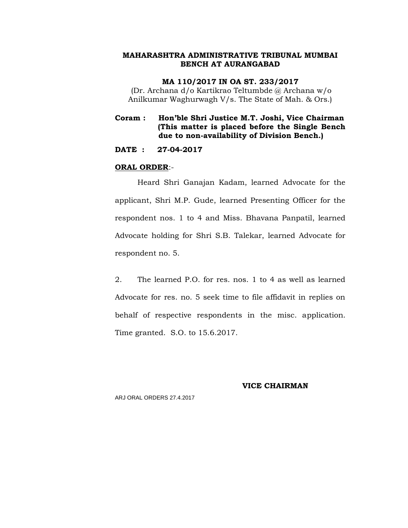**MA 110/2017 IN OA ST. 233/2017** (Dr. Archana d/o Kartikrao Teltumbde @ Archana w/o Anilkumar Waghurwagh V/s. The State of Mah. & Ors.)

## **Coram : Hon'ble Shri Justice M.T. Joshi, Vice Chairman (This matter is placed before the Single Bench due to non-availability of Division Bench.)**

#### **DATE : 27-04-2017**

#### **ORAL ORDER**:-

Heard Shri Ganajan Kadam, learned Advocate for the applicant, Shri M.P. Gude, learned Presenting Officer for the respondent nos. 1 to 4 and Miss. Bhavana Panpatil, learned Advocate holding for Shri S.B. Talekar, learned Advocate for respondent no. 5.

2. The learned P.O. for res. nos. 1 to 4 as well as learned Advocate for res. no. 5 seek time to file affidavit in replies on behalf of respective respondents in the misc. application. Time granted. S.O. to 15.6.2017.

#### **VICE CHAIRMAN**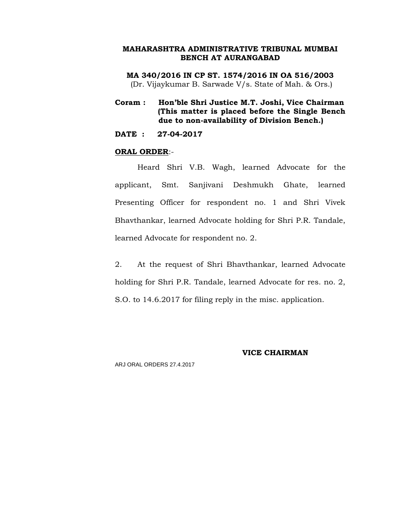**MA 340/2016 IN CP ST. 1574/2016 IN OA 516/2003** (Dr. Vijaykumar B. Sarwade V/s. State of Mah. & Ors.)

**Coram : Hon'ble Shri Justice M.T. Joshi, Vice Chairman (This matter is placed before the Single Bench due to non-availability of Division Bench.)**

**DATE : 27-04-2017**

## **ORAL ORDER**:-

Heard Shri V.B. Wagh, learned Advocate for the applicant, Smt. Sanjivani Deshmukh Ghate, learned Presenting Officer for respondent no. 1 and Shri Vivek Bhavthankar, learned Advocate holding for Shri P.R. Tandale, learned Advocate for respondent no. 2.

2. At the request of Shri Bhavthankar, learned Advocate holding for Shri P.R. Tandale, learned Advocate for res. no. 2, S.O. to 14.6.2017 for filing reply in the misc. application.

#### **VICE CHAIRMAN**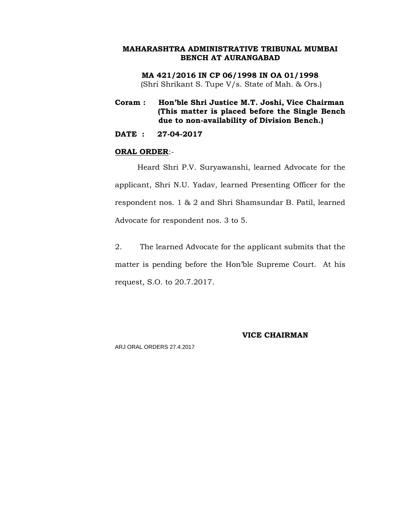**MA 421/2016 IN CP 06/1998 IN OA 01/1998** (Shri Shrikant S. Tupe V/s. State of Mah. & Ors.)

**Coram : Hon'ble Shri Justice M.T. Joshi, Vice Chairman (This matter is placed before the Single Bench due to non-availability of Division Bench.)**

**DATE : 27-04-2017**

## **ORAL ORDER**:-

Heard Shri P.V. Suryawanshi, learned Advocate for the applicant, Shri N.U. Yadav, learned Presenting Officer for the respondent nos. 1 & 2 and Shri Shamsundar B. Patil, learned Advocate for respondent nos. 3 to 5.

2. The learned Advocate for the applicant submits that the matter is pending before the Hon'ble Supreme Court. At his request, S.O. to 20.7.2017.

#### **VICE CHAIRMAN**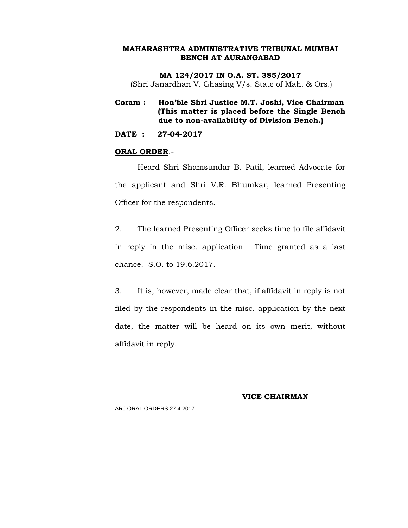**MA 124/2017 IN O.A. ST. 385/2017** (Shri Janardhan V. Ghasing V/s. State of Mah. & Ors.)

**Coram : Hon'ble Shri Justice M.T. Joshi, Vice Chairman (This matter is placed before the Single Bench due to non-availability of Division Bench.)**

**DATE : 27-04-2017**

## **ORAL ORDER**:-

Heard Shri Shamsundar B. Patil, learned Advocate for the applicant and Shri V.R. Bhumkar, learned Presenting Officer for the respondents.

2. The learned Presenting Officer seeks time to file affidavit in reply in the misc. application. Time granted as a last chance. S.O. to 19.6.2017.

3. It is, however, made clear that, if affidavit in reply is not filed by the respondents in the misc. application by the next date, the matter will be heard on its own merit, without affidavit in reply.

**VICE CHAIRMAN**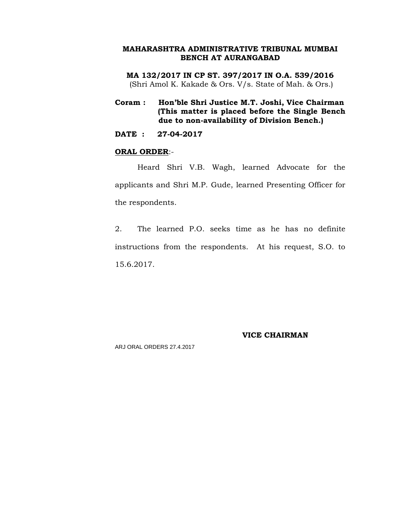**MA 132/2017 IN CP ST. 397/2017 IN O.A. 539/2016** (Shri Amol K. Kakade & Ors. V/s. State of Mah. & Ors.)

**Coram : Hon'ble Shri Justice M.T. Joshi, Vice Chairman (This matter is placed before the Single Bench due to non-availability of Division Bench.)**

**DATE : 27-04-2017**

## **ORAL ORDER**:-

Heard Shri V.B. Wagh, learned Advocate for the applicants and Shri M.P. Gude, learned Presenting Officer for the respondents.

2. The learned P.O. seeks time as he has no definite instructions from the respondents. At his request, S.O. to 15.6.2017.

#### **VICE CHAIRMAN**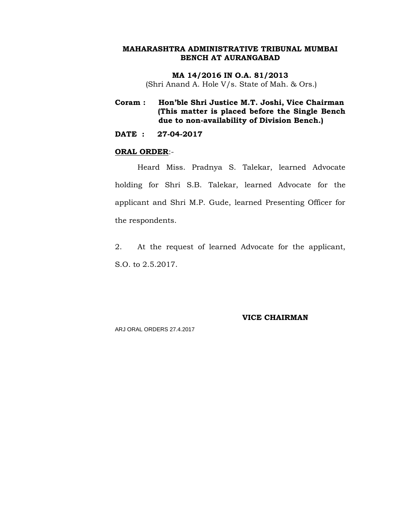**MA 14/2016 IN O.A. 81/2013** (Shri Anand A. Hole V/s. State of Mah. & Ors.)

- **Coram : Hon'ble Shri Justice M.T. Joshi, Vice Chairman (This matter is placed before the Single Bench due to non-availability of Division Bench.)**
- **DATE : 27-04-2017**

## **ORAL ORDER**:-

Heard Miss. Pradnya S. Talekar, learned Advocate holding for Shri S.B. Talekar, learned Advocate for the applicant and Shri M.P. Gude, learned Presenting Officer for the respondents.

2. At the request of learned Advocate for the applicant, S.O. to 2.5.2017.

#### **VICE CHAIRMAN**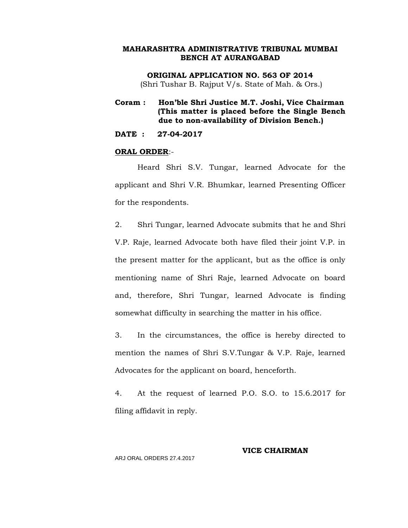**ORIGINAL APPLICATION NO. 563 OF 2014** (Shri Tushar B. Rajput V/s. State of Mah. & Ors.)

**Coram : Hon'ble Shri Justice M.T. Joshi, Vice Chairman (This matter is placed before the Single Bench due to non-availability of Division Bench.)**

**DATE : 27-04-2017**

## **ORAL ORDER**:-

Heard Shri S.V. Tungar, learned Advocate for the applicant and Shri V.R. Bhumkar, learned Presenting Officer for the respondents.

2. Shri Tungar, learned Advocate submits that he and Shri V.P. Raje, learned Advocate both have filed their joint V.P. in the present matter for the applicant, but as the office is only mentioning name of Shri Raje, learned Advocate on board and, therefore, Shri Tungar, learned Advocate is finding somewhat difficulty in searching the matter in his office.

3. In the circumstances, the office is hereby directed to mention the names of Shri S.V.Tungar & V.P. Raje, learned Advocates for the applicant on board, henceforth.

4. At the request of learned P.O. S.O. to 15.6.2017 for filing affidavit in reply.

ARJ ORAL ORDERS 27.4.2017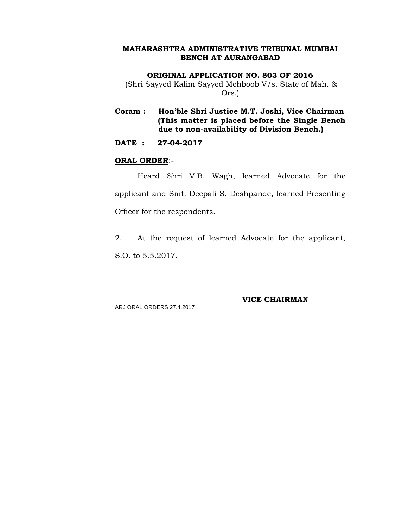## **ORIGINAL APPLICATION NO. 803 OF 2016**

(Shri Sayyed Kalim Sayyed Mehboob V/s. State of Mah. & Ors.)

**Coram : Hon'ble Shri Justice M.T. Joshi, Vice Chairman (This matter is placed before the Single Bench due to non-availability of Division Bench.)**

## **DATE : 27-04-2017**

#### **ORAL ORDER**:-

Heard Shri V.B. Wagh, learned Advocate for the applicant and Smt. Deepali S. Deshpande, learned Presenting Officer for the respondents.

2. At the request of learned Advocate for the applicant, S.O. to 5.5.2017.

ARJ ORAL ORDERS 27.4.2017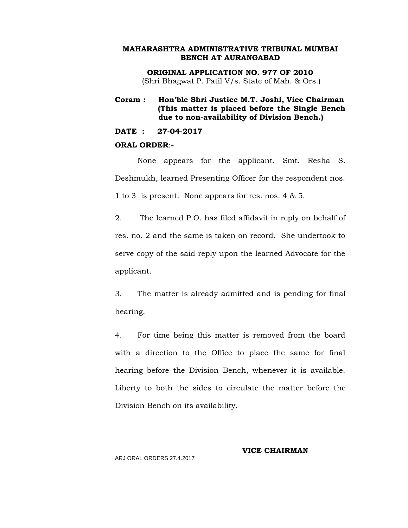## **ORIGINAL APPLICATION NO. 977 OF 2010** (Shri Bhagwat P. Patil V/s. State of Mah. & Ors.)

- **Coram : Hon'ble Shri Justice M.T. Joshi, Vice Chairman (This matter is placed before the Single Bench due to non-availability of Division Bench.)**
- **DATE : 27-04-2017**

#### **ORAL ORDER**:-

None appears for the applicant. Smt. Resha S. Deshmukh, learned Presenting Officer for the respondent nos. 1 to 3 is present. None appears for res. nos. 4 & 5.

2. The learned P.O. has filed affidavit in reply on behalf of res. no. 2 and the same is taken on record. She undertook to serve copy of the said reply upon the learned Advocate for the applicant.

3. The matter is already admitted and is pending for final hearing.

4. For time being this matter is removed from the board with a direction to the Office to place the same for final hearing before the Division Bench, whenever it is available. Liberty to both the sides to circulate the matter before the Division Bench on its availability.

#### ARJ ORAL ORDERS 27.4.2017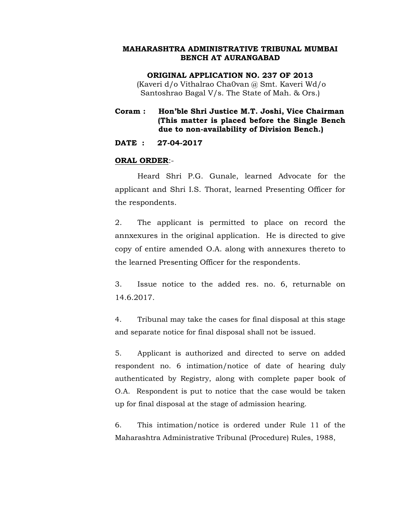**ORIGINAL APPLICATION NO. 237 OF 2013** (Kaveri d/o Vithalrao Cha0van @ Smt. Kaveri Wd/o Santoshrao Bagal V/s. The State of Mah. & Ors.)

**Coram : Hon'ble Shri Justice M.T. Joshi, Vice Chairman (This matter is placed before the Single Bench due to non-availability of Division Bench.)**

## **DATE : 27-04-2017**

## **ORAL ORDER**:-

Heard Shri P.G. Gunale, learned Advocate for the applicant and Shri I.S. Thorat, learned Presenting Officer for the respondents.

2. The applicant is permitted to place on record the annxexures in the original application. He is directed to give copy of entire amended O.A. along with annexures thereto to the learned Presenting Officer for the respondents.

3. Issue notice to the added res. no. 6, returnable on 14.6.2017.

4. Tribunal may take the cases for final disposal at this stage and separate notice for final disposal shall not be issued.

5. Applicant is authorized and directed to serve on added respondent no. 6 intimation/notice of date of hearing duly authenticated by Registry, along with complete paper book of O.A. Respondent is put to notice that the case would be taken up for final disposal at the stage of admission hearing.

6. This intimation/notice is ordered under Rule 11 of the Maharashtra Administrative Tribunal (Procedure) Rules, 1988,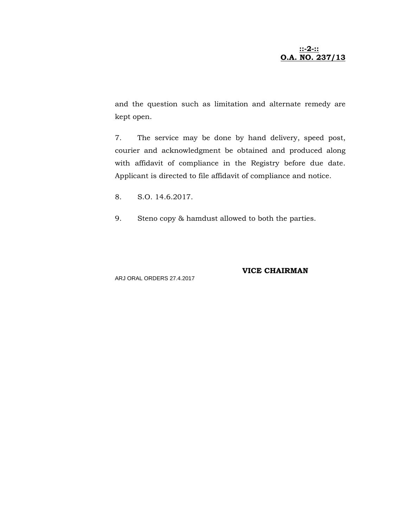# **::-2-:: O.A. NO. 237/13**

and the question such as limitation and alternate remedy are kept open.

7. The service may be done by hand delivery, speed post, courier and acknowledgment be obtained and produced along with affidavit of compliance in the Registry before due date. Applicant is directed to file affidavit of compliance and notice.

8. S.O. 14.6.2017.

9. Steno copy & hamdust allowed to both the parties.

ARJ ORAL ORDERS 27.4.2017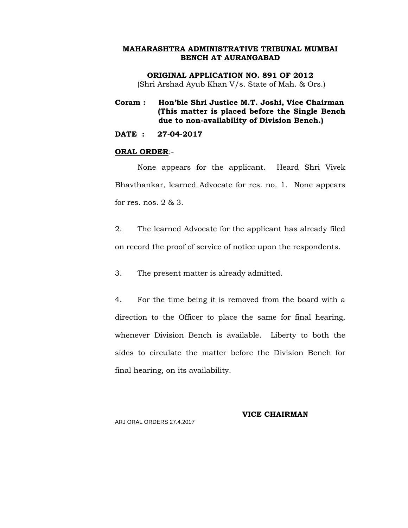**ORIGINAL APPLICATION NO. 891 OF 2012** (Shri Arshad Ayub Khan V/s. State of Mah. & Ors.)

**Coram : Hon'ble Shri Justice M.T. Joshi, Vice Chairman (This matter is placed before the Single Bench due to non-availability of Division Bench.)**

**DATE : 27-04-2017**

#### **ORAL ORDER**:-

None appears for the applicant. Heard Shri Vivek Bhavthankar, learned Advocate for res. no. 1. None appears for res. nos. 2 & 3.

2. The learned Advocate for the applicant has already filed on record the proof of service of notice upon the respondents.

3. The present matter is already admitted.

4. For the time being it is removed from the board with a direction to the Officer to place the same for final hearing, whenever Division Bench is available. Liberty to both the sides to circulate the matter before the Division Bench for final hearing, on its availability.

ARJ ORAL ORDERS 27.4.2017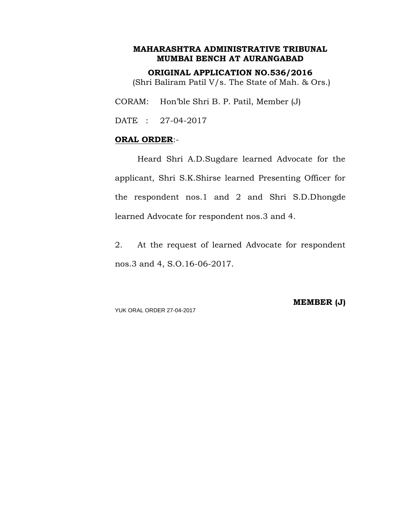#### **ORIGINAL APPLICATION NO.536/2016**

(Shri Baliram Patil V/s. The State of Mah. & Ors.)

CORAM: Hon'ble Shri B. P. Patil, Member (J)

DATE : 27-04-2017

## **ORAL ORDER**:-

Heard Shri A.D.Sugdare learned Advocate for the applicant, Shri S.K.Shirse learned Presenting Officer for the respondent nos.1 and 2 and Shri S.D.Dhongde learned Advocate for respondent nos.3 and 4.

2. At the request of learned Advocate for respondent nos.3 and 4, S.O.16-06-2017.

YUK ORAL ORDER 27-04-2017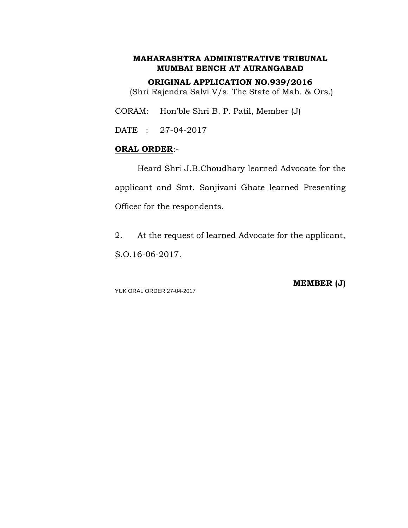**ORIGINAL APPLICATION NO.939/2016**

(Shri Rajendra Salvi V/s. The State of Mah. & Ors.)

CORAM: Hon'ble Shri B. P. Patil, Member (J)

DATE : 27-04-2017

# **ORAL ORDER**:-

Heard Shri J.B.Choudhary learned Advocate for the applicant and Smt. Sanjivani Ghate learned Presenting Officer for the respondents.

2. At the request of learned Advocate for the applicant, S.O.16-06-2017.

YUK ORAL ORDER 27-04-2017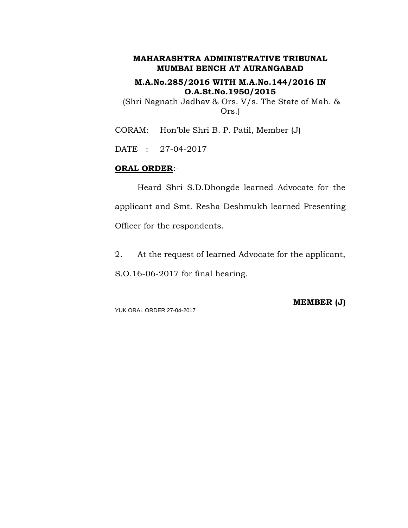# **M.A.No.285/2016 WITH M.A.No.144/2016 IN O.A.St.No.1950/2015**

(Shri Nagnath Jadhav & Ors. V/s. The State of Mah. & Ors.)

CORAM: Hon'ble Shri B. P. Patil, Member (J)

DATE : 27-04-2017

## **ORAL ORDER**:-

Heard Shri S.D.Dhongde learned Advocate for the applicant and Smt. Resha Deshmukh learned Presenting Officer for the respondents.

2. At the request of learned Advocate for the applicant,

S.O.16-06-2017 for final hearing.

YUK ORAL ORDER 27-04-2017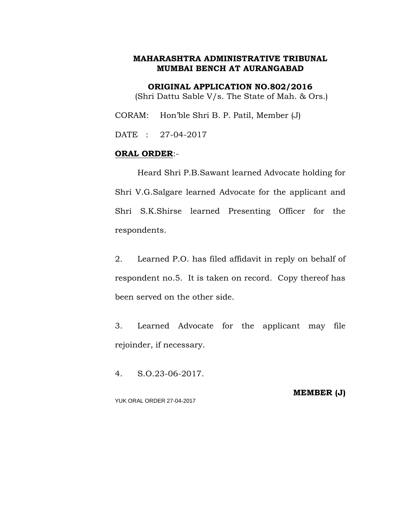**ORIGINAL APPLICATION NO.802/2016** (Shri Dattu Sable V/s. The State of Mah. & Ors.)

CORAM: Hon'ble Shri B. P. Patil, Member (J)

DATE : 27-04-2017

# **ORAL ORDER**:-

Heard Shri P.B.Sawant learned Advocate holding for Shri V.G.Salgare learned Advocate for the applicant and Shri S.K.Shirse learned Presenting Officer for the respondents.

2. Learned P.O. has filed affidavit in reply on behalf of respondent no.5. It is taken on record. Copy thereof has been served on the other side.

3. Learned Advocate for the applicant may file rejoinder, if necessary.

4. S.O.23-06-2017.

YUK ORAL ORDER 27-04-2017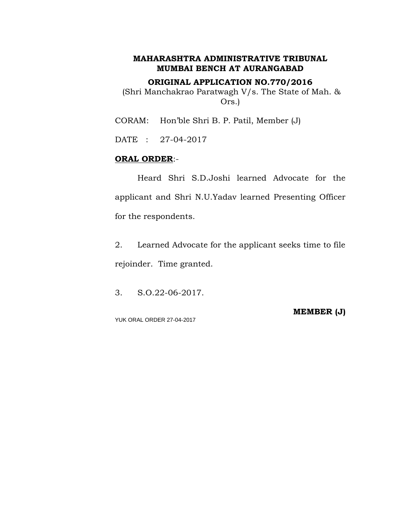**ORIGINAL APPLICATION NO.770/2016**

(Shri Manchakrao Paratwagh V/s. The State of Mah. & Ors.)

CORAM: Hon'ble Shri B. P. Patil, Member (J)

DATE : 27-04-2017

# **ORAL ORDER**:-

Heard Shri S.D.Joshi learned Advocate for the applicant and Shri N.U.Yadav learned Presenting Officer for the respondents.

2. Learned Advocate for the applicant seeks time to file rejoinder. Time granted.

3. S.O.22-06-2017.

YUK ORAL ORDER 27-04-2017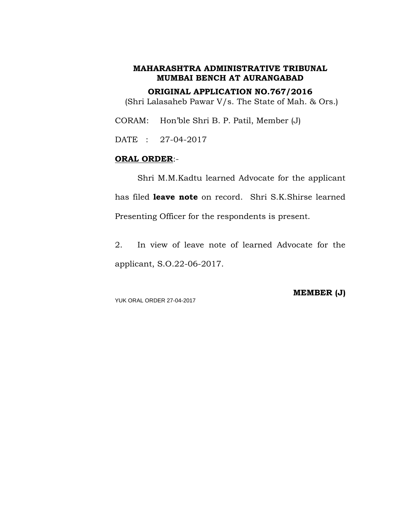**ORIGINAL APPLICATION NO.767/2016**

(Shri Lalasaheb Pawar V/s. The State of Mah. & Ors.)

CORAM: Hon'ble Shri B. P. Patil, Member (J)

DATE : 27-04-2017

# **ORAL ORDER**:-

Shri M.M.Kadtu learned Advocate for the applicant has filed **leave note** on record. Shri S.K.Shirse learned Presenting Officer for the respondents is present.

2. In view of leave note of learned Advocate for the applicant, S.O.22-06-2017.

YUK ORAL ORDER 27-04-2017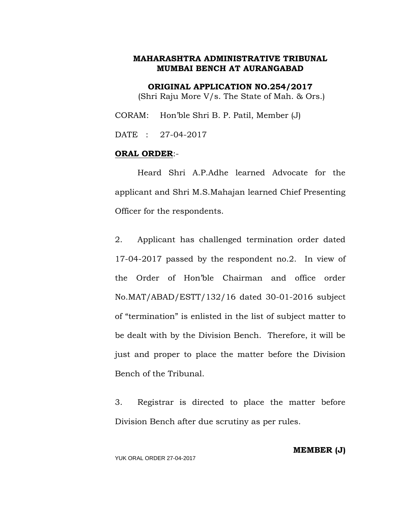**ORIGINAL APPLICATION NO.254/2017** (Shri Raju More V/s. The State of Mah. & Ors.)

CORAM: Hon'ble Shri B. P. Patil, Member (J)

DATE : 27-04-2017

# **ORAL ORDER**:-

Heard Shri A.P.Adhe learned Advocate for the applicant and Shri M.S.Mahajan learned Chief Presenting Officer for the respondents.

2. Applicant has challenged termination order dated 17-04-2017 passed by the respondent no.2. In view of the Order of Hon'ble Chairman and office order No.MAT/ABAD/ESTT/132/16 dated 30-01-2016 subject of "termination" is enlisted in the list of subject matter to be dealt with by the Division Bench. Therefore, it will be just and proper to place the matter before the Division Bench of the Tribunal.

3. Registrar is directed to place the matter before Division Bench after due scrutiny as per rules.

YUK ORAL ORDER 27-04-2017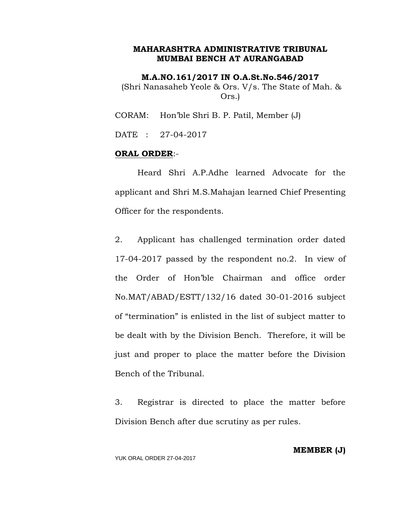**M.A.NO.161/2017 IN O.A.St.No.546/2017** (Shri Nanasaheb Yeole & Ors. V/s. The State of Mah. & Ors.)

CORAM: Hon'ble Shri B. P. Patil, Member (J)

DATE : 27-04-2017

# **ORAL ORDER**:-

Heard Shri A.P.Adhe learned Advocate for the applicant and Shri M.S.Mahajan learned Chief Presenting Officer for the respondents.

2. Applicant has challenged termination order dated 17-04-2017 passed by the respondent no.2. In view of the Order of Hon'ble Chairman and office order No.MAT/ABAD/ESTT/132/16 dated 30-01-2016 subject of "termination" is enlisted in the list of subject matter to be dealt with by the Division Bench. Therefore, it will be just and proper to place the matter before the Division Bench of the Tribunal.

3. Registrar is directed to place the matter before Division Bench after due scrutiny as per rules.

YUK ORAL ORDER 27-04-2017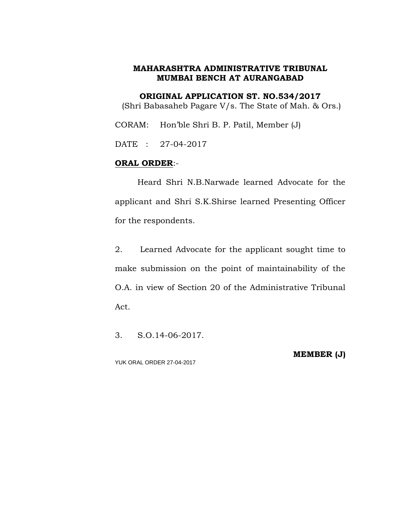**ORIGINAL APPLICATION ST. NO.534/2017** (Shri Babasaheb Pagare V/s. The State of Mah. & Ors.)

CORAM: Hon'ble Shri B. P. Patil, Member (J)

DATE : 27-04-2017

# **ORAL ORDER**:-

Heard Shri N.B.Narwade learned Advocate for the applicant and Shri S.K.Shirse learned Presenting Officer for the respondents.

2. Learned Advocate for the applicant sought time to make submission on the point of maintainability of the O.A. in view of Section 20 of the Administrative Tribunal Act.

3. S.O.14-06-2017.

YUK ORAL ORDER 27-04-2017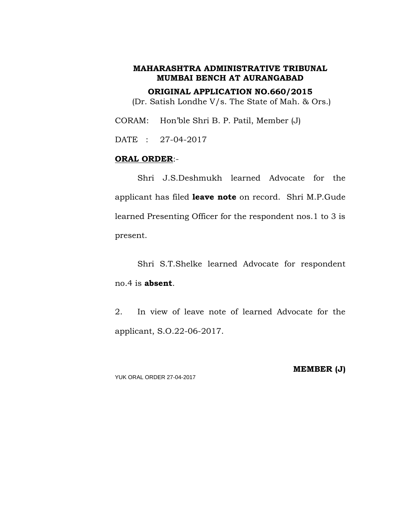**ORIGINAL APPLICATION NO.660/2015**

(Dr. Satish Londhe V/s. The State of Mah. & Ors.)

CORAM: Hon'ble Shri B. P. Patil, Member (J)

DATE : 27-04-2017

# **ORAL ORDER**:-

Shri J.S.Deshmukh learned Advocate for the applicant has filed **leave note** on record. Shri M.P.Gude learned Presenting Officer for the respondent nos.1 to 3 is present.

Shri S.T.Shelke learned Advocate for respondent no.4 is **absent**.

2. In view of leave note of learned Advocate for the applicant, S.O.22-06-2017.

YUK ORAL ORDER 27-04-2017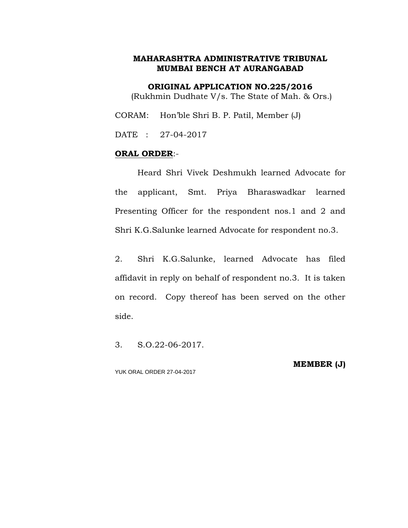**ORIGINAL APPLICATION NO.225/2016** (Rukhmin Dudhate V/s. The State of Mah. & Ors.)

CORAM: Hon'ble Shri B. P. Patil, Member (J)

DATE : 27-04-2017

# **ORAL ORDER**:-

Heard Shri Vivek Deshmukh learned Advocate for the applicant, Smt. Priya Bharaswadkar learned Presenting Officer for the respondent nos.1 and 2 and Shri K.G.Salunke learned Advocate for respondent no.3.

2. Shri K.G.Salunke, learned Advocate has filed affidavit in reply on behalf of respondent no.3. It is taken on record. Copy thereof has been served on the other side.

3. S.O.22-06-2017.

**MEMBER (J)**

YUK ORAL ORDER 27-04-2017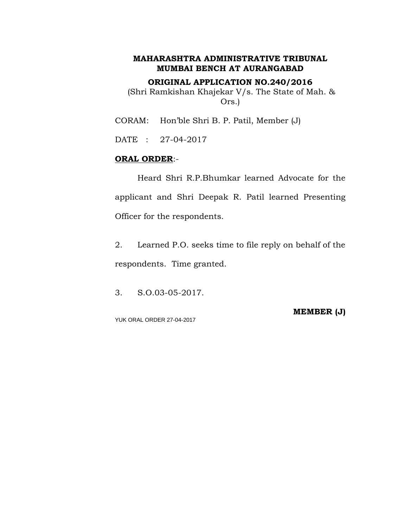**ORIGINAL APPLICATION NO.240/2016**

(Shri Ramkishan Khajekar V/s. The State of Mah. & Ors.)

CORAM: Hon'ble Shri B. P. Patil, Member (J)

DATE : 27-04-2017

# **ORAL ORDER**:-

Heard Shri R.P.Bhumkar learned Advocate for the applicant and Shri Deepak R. Patil learned Presenting Officer for the respondents.

2. Learned P.O. seeks time to file reply on behalf of the respondents. Time granted.

3. S.O.03-05-2017.

YUK ORAL ORDER 27-04-2017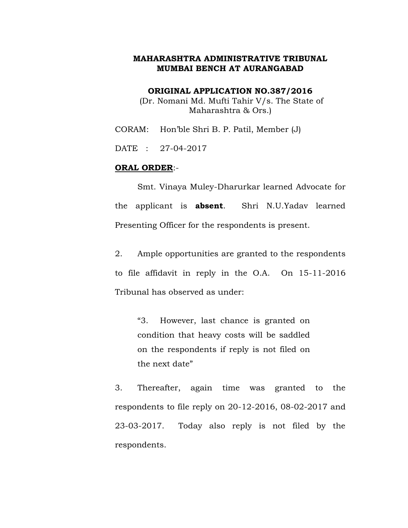**ORIGINAL APPLICATION NO.387/2016** (Dr. Nomani Md. Mufti Tahir V/s. The State of Maharashtra & Ors.)

CORAM: Hon'ble Shri B. P. Patil, Member (J)

DATE : 27-04-2017

#### **ORAL ORDER**:-

Smt. Vinaya Muley-Dharurkar learned Advocate for the applicant is **absent**. Shri N.U.Yadav learned Presenting Officer for the respondents is present.

2. Ample opportunities are granted to the respondents to file affidavit in reply in the O.A. On 15-11-2016 Tribunal has observed as under:

"3. However, last chance is granted on condition that heavy costs will be saddled on the respondents if reply is not filed on the next date"

3. Thereafter, again time was granted to the respondents to file reply on 20-12-2016, 08-02-2017 and 23-03-2017. Today also reply is not filed by the respondents.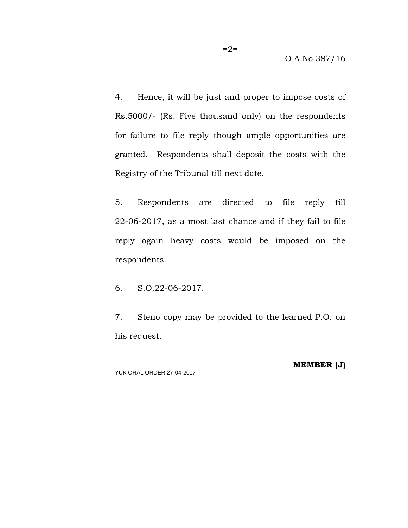4. Hence, it will be just and proper to impose costs of Rs.5000/- (Rs. Five thousand only) on the respondents for failure to file reply though ample opportunities are granted. Respondents shall deposit the costs with the Registry of the Tribunal till next date.

5. Respondents are directed to file reply till 22-06-2017, as a most last chance and if they fail to file reply again heavy costs would be imposed on the respondents.

6. S.O.22-06-2017.

7. Steno copy may be provided to the learned P.O. on his request.

YUK ORAL ORDER 27-04-2017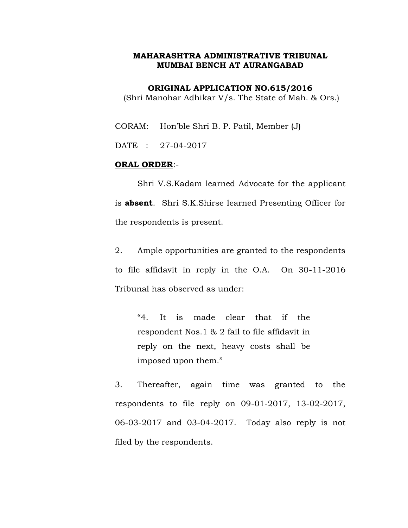**ORIGINAL APPLICATION NO.615/2016**

(Shri Manohar Adhikar V/s. The State of Mah. & Ors.)

CORAM: Hon'ble Shri B. P. Patil, Member (J)

DATE : 27-04-2017

## **ORAL ORDER**:-

Shri V.S.Kadam learned Advocate for the applicant is **absent**. Shri S.K.Shirse learned Presenting Officer for the respondents is present.

2. Ample opportunities are granted to the respondents to file affidavit in reply in the O.A. On 30-11-2016 Tribunal has observed as under:

"4. It is made clear that if the respondent Nos.1 & 2 fail to file affidavit in reply on the next, heavy costs shall be imposed upon them."

3. Thereafter, again time was granted to the respondents to file reply on 09-01-2017, 13-02-2017, 06-03-2017 and 03-04-2017. Today also reply is not filed by the respondents.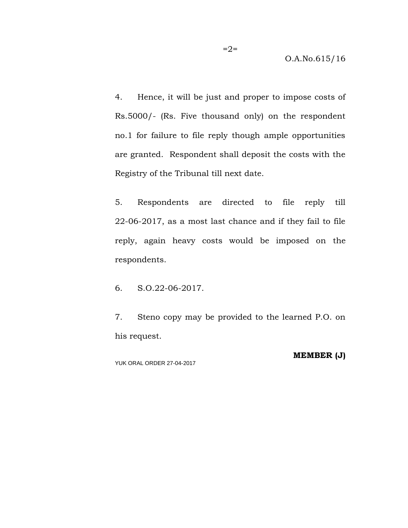4. Hence, it will be just and proper to impose costs of Rs.5000/- (Rs. Five thousand only) on the respondent no.1 for failure to file reply though ample opportunities are granted. Respondent shall deposit the costs with the Registry of the Tribunal till next date.

5. Respondents are directed to file reply till 22-06-2017, as a most last chance and if they fail to file reply, again heavy costs would be imposed on the respondents.

6. S.O.22-06-2017.

7. Steno copy may be provided to the learned P.O. on his request.

YUK ORAL ORDER 27-04-2017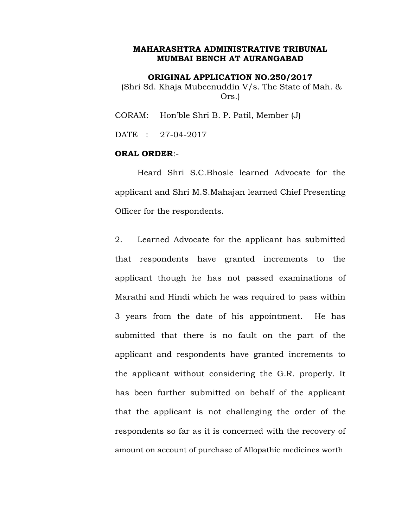## **ORIGINAL APPLICATION NO.250/2017**

(Shri Sd. Khaja Mubeenuddin V/s. The State of Mah. & Ors.)

CORAM: Hon'ble Shri B. P. Patil, Member (J)

DATE : 27-04-2017

## **ORAL ORDER**:-

Heard Shri S.C.Bhosle learned Advocate for the applicant and Shri M.S.Mahajan learned Chief Presenting Officer for the respondents.

2. Learned Advocate for the applicant has submitted that respondents have granted increments to the applicant though he has not passed examinations of Marathi and Hindi which he was required to pass within 3 years from the date of his appointment. He has submitted that there is no fault on the part of the applicant and respondents have granted increments to the applicant without considering the G.R. properly. It has been further submitted on behalf of the applicant that the applicant is not challenging the order of the respondents so far as it is concerned with the recovery of amount on account of purchase of Allopathic medicines worth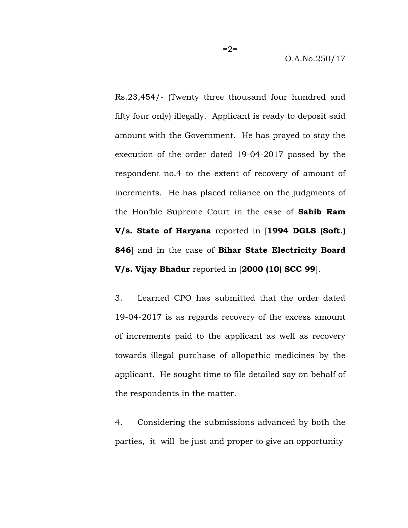O.A.No.250/17

Rs.23,454/- (Twenty three thousand four hundred and fifty four only) illegally. Applicant is ready to deposit said amount with the Government. He has prayed to stay the execution of the order dated 19-04-2017 passed by the respondent no.4 to the extent of recovery of amount of increments. He has placed reliance on the judgments of the Hon'ble Supreme Court in the case of **Sahib Ram V/s. State of Haryana** reported in [**1994 DGLS (Soft.) 846**] and in the case of **Bihar State Electricity Board V/s. Vijay Bhadur** reported in [**2000 (10) SCC 99**].

3. Learned CPO has submitted that the order dated 19-04-2017 is as regards recovery of the excess amount of increments paid to the applicant as well as recovery towards illegal purchase of allopathic medicines by the applicant. He sought time to file detailed say on behalf of the respondents in the matter.

4. Considering the submissions advanced by both the parties, it will be just and proper to give an opportunity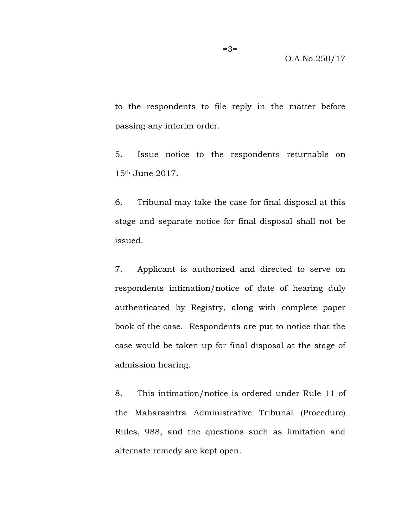to the respondents to file reply in the matter before passing any interim order.

5. Issue notice to the respondents returnable on 15th June 2017.

6. Tribunal may take the case for final disposal at this stage and separate notice for final disposal shall not be issued.

7. Applicant is authorized and directed to serve on respondents intimation/notice of date of hearing duly authenticated by Registry, along with complete paper book of the case. Respondents are put to notice that the case would be taken up for final disposal at the stage of admission hearing.

8. This intimation/notice is ordered under Rule 11 of the Maharashtra Administrative Tribunal (Procedure) Rules, 988, and the questions such as limitation and alternate remedy are kept open.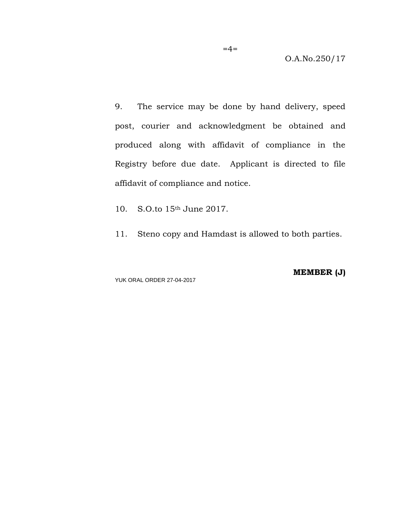9. The service may be done by hand delivery, speed post, courier and acknowledgment be obtained and produced along with affidavit of compliance in the Registry before due date. Applicant is directed to file affidavit of compliance and notice.

10. S.O.to 15th June 2017.

11. Steno copy and Hamdast is allowed to both parties.

YUK ORAL ORDER 27-04-2017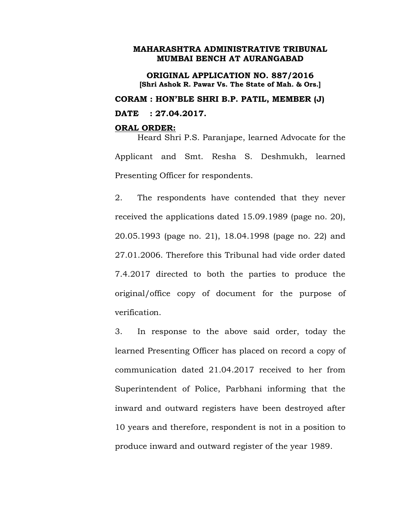**ORIGINAL APPLICATION NO. 887/2016 [Shri Ashok R. Pawar Vs. The State of Mah. & Ors.] CORAM : HON'BLE SHRI B.P. PATIL, MEMBER (J) DATE : 27.04.2017.**

# **ORAL ORDER:**

Heard Shri P.S. Paranjape, learned Advocate for the Applicant and Smt. Resha S. Deshmukh, learned Presenting Officer for respondents.

2. The respondents have contended that they never received the applications dated 15.09.1989 (page no. 20), 20.05.1993 (page no. 21), 18.04.1998 (page no. 22) and 27.01.2006. Therefore this Tribunal had vide order dated 7.4.2017 directed to both the parties to produce the original/office copy of document for the purpose of verificati*o*n.

3. In response to the above said order, today the learned Presenting Officer has placed on record a copy of communication dated 21.04.2017 received to her from Superintendent of Police, Parbhani informing that the inward and outward registers have been destroyed after 10 years and therefore, respondent is not in a position to produce inward and outward register of the year 1989.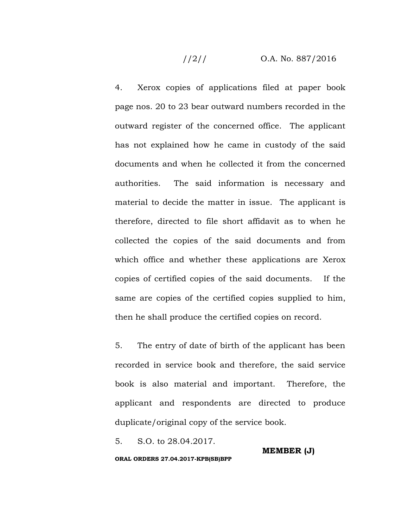# //2// O.A. No. 887/2016

4. Xerox copies of applications filed at paper book page nos. 20 to 23 bear outward numbers recorded in the outward register of the concerned office. The applicant has not explained how he came in custody of the said documents and when he collected it from the concerned authorities. The said information is necessary and material to decide the matter in issue. The applicant is therefore, directed to file short affidavit as to when he collected the copies of the said documents and from which office and whether these applications are Xerox copies of certified copies of the said documents. If the same are copies of the certified copies supplied to him, then he shall produce the certified copies on record.

5. The entry of date of birth of the applicant has been recorded in service book and therefore, the said service book is also material and important. Therefore, the applicant and respondents are directed to produce duplicate/original copy of the service book.

5. S.O. to 28.04.2017.

#### **ORAL ORDERS 27.04.2017-KPB(SB)BPP**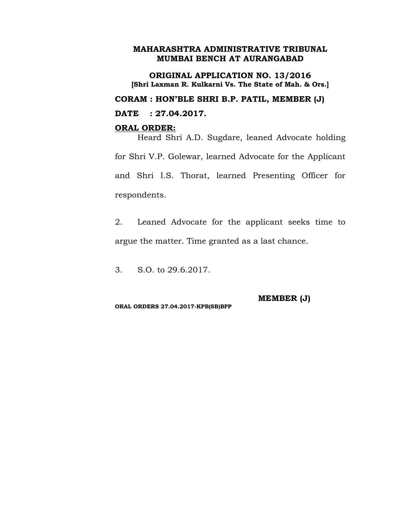**ORIGINAL APPLICATION NO. 13/2016 [Shri Laxman R. Kulkarni Vs. The State of Mah. & Ors.]**

**CORAM : HON'BLE SHRI B.P. PATIL, MEMBER (J)**

**DATE : 27.04.2017.**

# **ORAL ORDER:**

Heard Shri A.D. Sugdare, leaned Advocate holding for Shri V.P. Golewar, learned Advocate for the Applicant and Shri I.S. Thorat, learned Presenting Officer for respondents.

2. Leaned Advocate for the applicant seeks time to argue the matter. Time granted as a last chance.

3. S.O. to 29.6.2017.

**MEMBER (J)**

**ORAL ORDERS 27.04.2017-KPB(SB)BPP**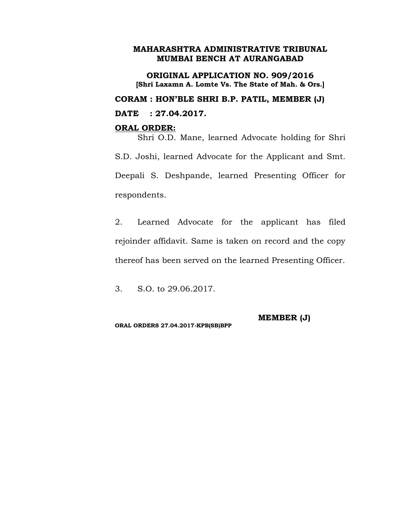**ORIGINAL APPLICATION NO. 909/2016 [Shri Laxamn A. Lomte Vs. The State of Mah. & Ors.]**

**CORAM : HON'BLE SHRI B.P. PATIL, MEMBER (J) DATE : 27.04.2017.**

### **ORAL ORDER:**

Shri O.D. Mane, learned Advocate holding for Shri S.D. Joshi, learned Advocate for the Applicant and Smt. Deepali S. Deshpande, learned Presenting Officer for respondents.

2. Learned Advocate for the applicant has filed rejoinder affidavit. Same is taken on record and the copy thereof has been served on the learned Presenting Officer.

3. S.O. to 29.06.2017.

**ORAL ORDERS 27.04.2017-KPB(SB)BPP**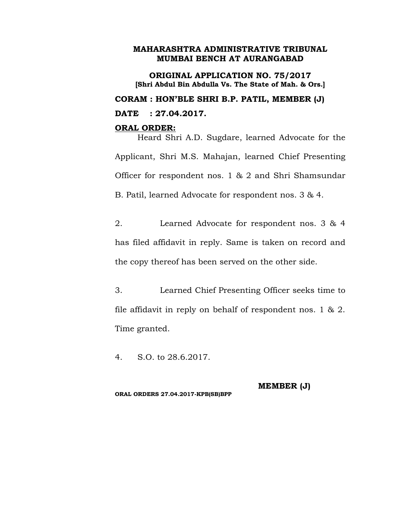**ORIGINAL APPLICATION NO. 75/2017 [Shri Abdul Bin Abdulla Vs. The State of Mah. & Ors.] CORAM : HON'BLE SHRI B.P. PATIL, MEMBER (J) DATE : 27.04.2017.**

#### **ORAL ORDER:**

Heard Shri A.D. Sugdare, learned Advocate for the Applicant, Shri M.S. Mahajan, learned Chief Presenting Officer for respondent nos. 1 & 2 and Shri Shamsundar B. Patil, learned Advocate for respondent nos. 3 & 4.

2. Learned Advocate for respondent nos. 3 & 4 has filed affidavit in reply. Same is taken on record and the copy thereof has been served on the other side.

3. Learned Chief Presenting Officer seeks time to file affidavit in reply on behalf of respondent nos. 1 & 2. Time granted.

4. S.O. to 28.6.2017.

**ORAL ORDERS 27.04.2017-KPB(SB)BPP**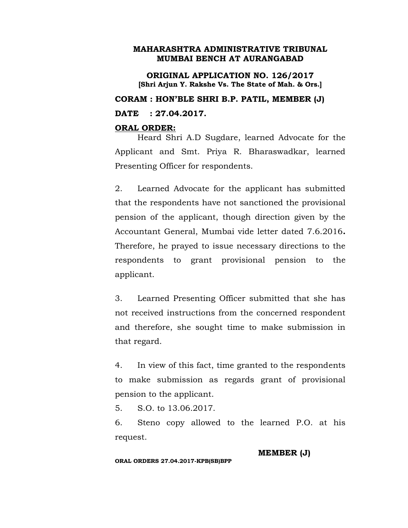**ORIGINAL APPLICATION NO. 126/2017 [Shri Arjun Y. Rakshe Vs. The State of Mah. & Ors.]**

**CORAM : HON'BLE SHRI B.P. PATIL, MEMBER (J)**

**DATE : 27.04.2017.**

# **ORAL ORDER:**

Heard Shri A.D Sugdare, learned Advocate for the Applicant and Smt. Priya R. Bharaswadkar, learned Presenting Officer for respondents.

2. Learned Advocate for the applicant has submitted that the respondents have not sanctioned the provisional pension of the applicant, though direction given by the Accountant General, Mumbai vide letter dated 7.6.2016**.** Therefore, he prayed to issue necessary directions to the respondents to grant provisional pension to the applicant.

3. Learned Presenting Officer submitted that she has not received instructions from the concerned respondent and therefore, she sought time to make submission in that regard.

4. In view of this fact, time granted to the respondents to make submission as regards grant of provisional pension to the applicant.

5. S.O. to 13.06.2017.

6. Steno copy allowed to the learned P.O. at his request.

**ORAL ORDERS 27.04.2017-KPB(SB)BPP**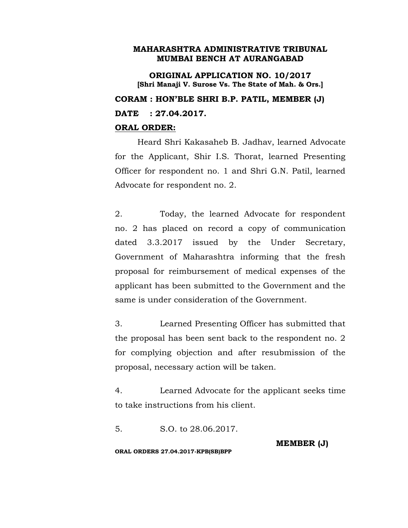**ORIGINAL APPLICATION NO. 10/2017 [Shri Manaji V. Surose Vs. The State of Mah. & Ors.] CORAM : HON'BLE SHRI B.P. PATIL, MEMBER (J) DATE : 27.04.2017.**

# **ORAL ORDER:**

Heard Shri Kakasaheb B. Jadhav, learned Advocate for the Applicant, Shir I.S. Thorat, learned Presenting Officer for respondent no. 1 and Shri G.N. Patil, learned Advocate for respondent no. 2.

2. Today, the learned Advocate for respondent no. 2 has placed on record a copy of communication dated 3.3.2017 issued by the Under Secretary, Government of Maharashtra informing that the fresh proposal for reimbursement of medical expenses of the applicant has been submitted to the Government and the same is under consideration of the Government.

3. Learned Presenting Officer has submitted that the proposal has been sent back to the respondent no. 2 for complying objection and after resubmission of the proposal, necessary action will be taken.

4. Learned Advocate for the applicant seeks time to take instructions from his client.

5. S.O. to 28.06.2017.

**MEMBER (J)**

**ORAL ORDERS 27.04.2017-KPB(SB)BPP**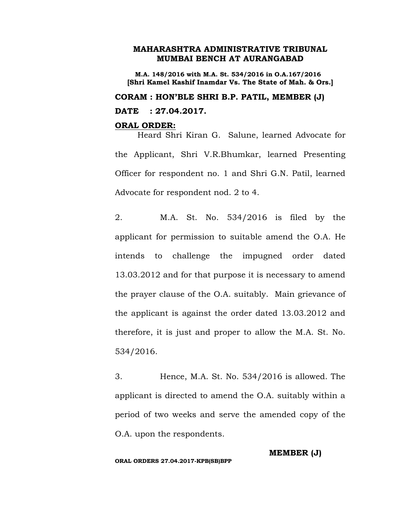**M.A. 148/2016 with M.A. St. 534/2016 in O.A.167/2016 [Shri Kamel Kashif Inamdar Vs. The State of Mah. & Ors.]**

**CORAM : HON'BLE SHRI B.P. PATIL, MEMBER (J) DATE : 27.04.2017.**

#### **ORAL ORDER:**

Heard Shri Kiran G. Salune, learned Advocate for the Applicant, Shri V.R.Bhumkar, learned Presenting Officer for respondent no. 1 and Shri G.N. Patil, learned Advocate for respondent nod. 2 to 4.

2. M.A. St. No. 534/2016 is filed by the applicant for permission to suitable amend the O.A. He intends to challenge the impugned order dated 13.03.2012 and for that purpose it is necessary to amend the prayer clause of the O.A. suitably. Main grievance of the applicant is against the order dated 13.03.2012 and therefore, it is just and proper to allow the M.A. St. No. 534/2016.

3. Hence, M.A. St. No. 534/2016 is allowed. The applicant is directed to amend the O.A. suitably within a period of two weeks and serve the amended copy of the O.A. upon the respondents.

**MEMBER (J)**

**ORAL ORDERS 27.04.2017-KPB(SB)BPP**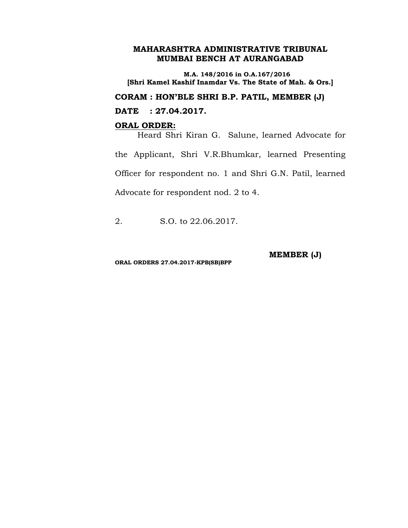**M.A. 148/2016 in O.A.167/2016 [Shri Kamel Kashif Inamdar Vs. The State of Mah. & Ors.]**

**CORAM : HON'BLE SHRI B.P. PATIL, MEMBER (J)**

**DATE : 27.04.2017.**

# **ORAL ORDER:**

Heard Shri Kiran G. Salune, learned Advocate for the Applicant, Shri V.R.Bhumkar, learned Presenting Officer for respondent no. 1 and Shri G.N. Patil, learned Advocate for respondent nod. 2 to 4.

2. S.O. to 22.06.2017.

**ORAL ORDERS 27.04.2017-KPB(SB)BPP**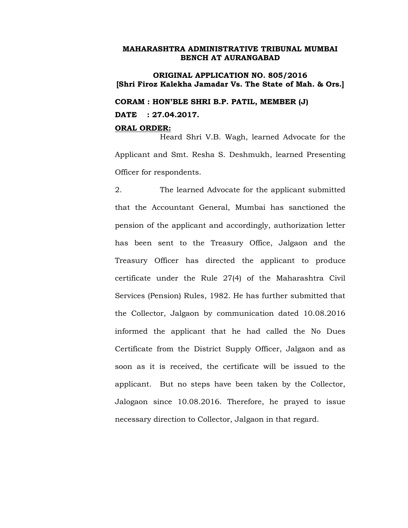# **ORIGINAL APPLICATION NO. 805/2016 [Shri Firoz Kalekha Jamadar Vs. The State of Mah. & Ors.]**

**CORAM : HON'BLE SHRI B.P. PATIL, MEMBER (J) DATE : 27.04.2017.**

#### **ORAL ORDER:**

Heard Shri V.B. Wagh, learned Advocate for the Applicant and Smt. Resha S. Deshmukh, learned Presenting Officer for respondents.

2. The learned Advocate for the applicant submitted that the Accountant General, Mumbai has sanctioned the pension of the applicant and accordingly, authorization letter has been sent to the Treasury Office, Jalgaon and the Treasury Officer has directed the applicant to produce certificate under the Rule 27(4) of the Maharashtra Civil Services (Pension) Rules, 1982. He has further submitted that the Collector, Jalgaon by communication dated 10.08.2016 informed the applicant that he had called the No Dues Certificate from the District Supply Officer, Jalgaon and as soon as it is received, the certificate will be issued to the applicant. But no steps have been taken by the Collector, Jalogaon since 10.08.2016. Therefore, he prayed to issue necessary direction to Collector, Jalgaon in that regard.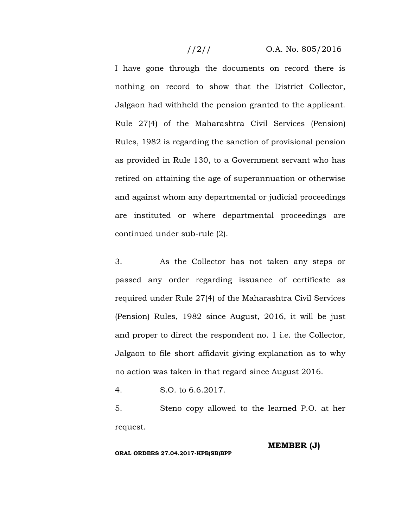# //2// O.A. No. 805/2016

I have gone through the documents on record there is nothing on record to show that the District Collector, Jalgaon had withheld the pension granted to the applicant. Rule 27(4) of the Maharashtra Civil Services (Pension) Rules, 1982 is regarding the sanction of provisional pension as provided in Rule 130, to a Government servant who has retired on attaining the age of superannuation or otherwise and against whom any departmental or judicial proceedings are instituted or where departmental proceedings are continued under sub-rule (2).

3. As the Collector has not taken any steps or passed any order regarding issuance of certificate as required under Rule 27(4) of the Maharashtra Civil Services (Pension) Rules, 1982 since August, 2016, it will be just and proper to direct the respondent no. 1 i.e. the Collector, Jalgaon to file short affidavit giving explanation as to why no action was taken in that regard since August 2016.

4. S.O. to 6.6.2017.

5. Steno copy allowed to the learned P.O. at her request.

#### **MEMBER (J)**

#### **ORAL ORDERS 27.04.2017-KPB(SB)BPP**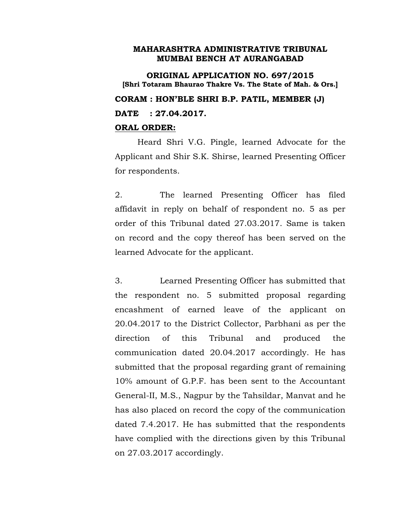**ORIGINAL APPLICATION NO. 697/2015 [Shri Totaram Bhaurao Thakre Vs. The State of Mah. & Ors.] CORAM : HON'BLE SHRI B.P. PATIL, MEMBER (J) DATE : 27.04.2017.**

# **ORAL ORDER:**

Heard Shri V.G. Pingle, learned Advocate for the Applicant and Shir S.K. Shirse, learned Presenting Officer for respondents.

2. The learned Presenting Officer has filed affidavit in reply on behalf of respondent no. 5 as per order of this Tribunal dated 27.03.2017. Same is taken on record and the copy thereof has been served on the learned Advocate for the applicant.

3. Learned Presenting Officer has submitted that the respondent no. 5 submitted proposal regarding encashment of earned leave of the applicant on 20.04.2017 to the District Collector, Parbhani as per the direction of this Tribunal and produced the communication dated 20.04.2017 accordingly. He has submitted that the proposal regarding grant of remaining 10% amount of G.P.F. has been sent to the Accountant General-II, M.S., Nagpur by the Tahsildar, Manvat and he has also placed on record the copy of the communication dated 7.4.2017. He has submitted that the respondents have complied with the directions given by this Tribunal on 27.03.2017 accordingly.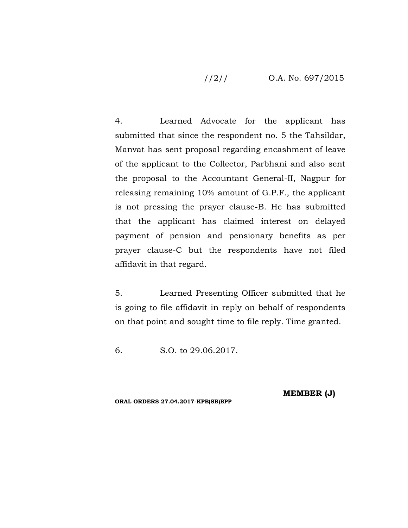# //2// O.A. No. 697/2015

4. Learned Advocate for the applicant has submitted that since the respondent no. 5 the Tahsildar, Manvat has sent proposal regarding encashment of leave of the applicant to the Collector, Parbhani and also sent the proposal to the Accountant General-II, Nagpur for releasing remaining 10% amount of G.P.F., the applicant is not pressing the prayer clause-B. He has submitted that the applicant has claimed interest on delayed payment of pension and pensionary benefits as per prayer clause-C but the respondents have not filed affidavit in that regard.

5. Learned Presenting Officer submitted that he is going to file affidavit in reply on behalf of respondents on that point and sought time to file reply. Time granted.

6. S.O. to 29.06.2017.

**MEMBER (J)**

**ORAL ORDERS 27.04.2017-KPB(SB)BPP**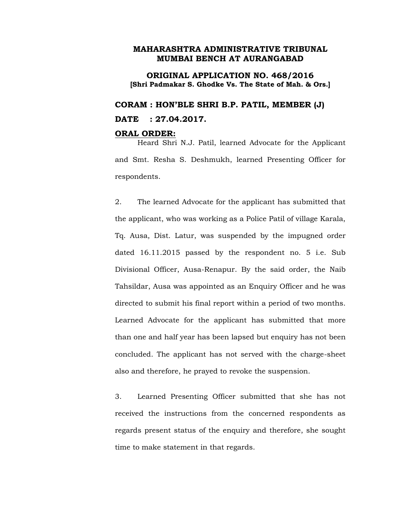**ORIGINAL APPLICATION NO. 468/2016 [Shri Padmakar S. Ghodke Vs. The State of Mah. & Ors.]**

**CORAM : HON'BLE SHRI B.P. PATIL, MEMBER (J) DATE : 27.04.2017.**

#### **ORAL ORDER:**

Heard Shri N.J. Patil, learned Advocate for the Applicant and Smt. Resha S. Deshmukh, learned Presenting Officer for respondents.

2. The learned Advocate for the applicant has submitted that the applicant, who was working as a Police Patil of village Karala, Tq. Ausa, Dist. Latur, was suspended by the impugned order dated 16.11.2015 passed by the respondent no. 5 i.e. Sub Divisional Officer, Ausa-Renapur. By the said order, the Naib Tahsildar, Ausa was appointed as an Enquiry Officer and he was directed to submit his final report within a period of two months. Learned Advocate for the applicant has submitted that more than one and half year has been lapsed but enquiry has not been concluded. The applicant has not served with the charge-sheet also and therefore, he prayed to revoke the suspension.

3. Learned Presenting Officer submitted that she has not received the instructions from the concerned respondents as regards present status of the enquiry and therefore, she sought time to make statement in that regards.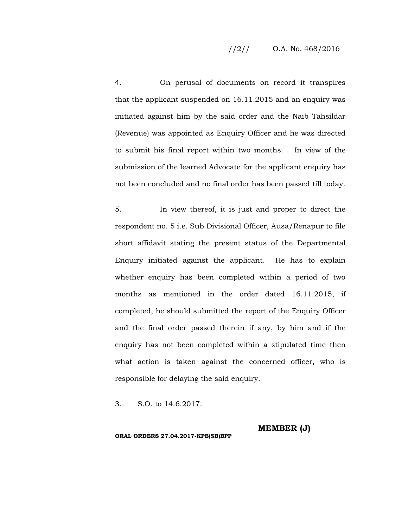#### //2// O.A. No. 468/2016

4. On perusal of documents on record it transpires that the applicant suspended on 16.11.2015 and an enquiry was initiated against him by the said order and the Naib Tahsildar (Revenue) was appointed as Enquiry Officer and he was directed to submit his final report within two months. In view of the submission of the learned Advocate for the applicant enquiry has not been concluded and no final order has been passed till today.

5. In view thereof, it is just and proper to direct the respondent no. 5 i.e. Sub Divisional Officer, Ausa/Renapur to file short affidavit stating the present status of the Departmental Enquiry initiated against the applicant. He has to explain whether enquiry has been completed within a period of two months as mentioned in the order dated 16.11.2015, if completed, he should submitted the report of the Enquiry Officer and the final order passed therein if any, by him and if the enquiry has not been completed within a stipulated time then what action is taken against the concerned officer, who is responsible for delaying the said enquiry.

3. S.O. to 14.6.2017.

**MEMBER (J)**

**ORAL ORDERS 27.04.2017-KPB(SB)BPP**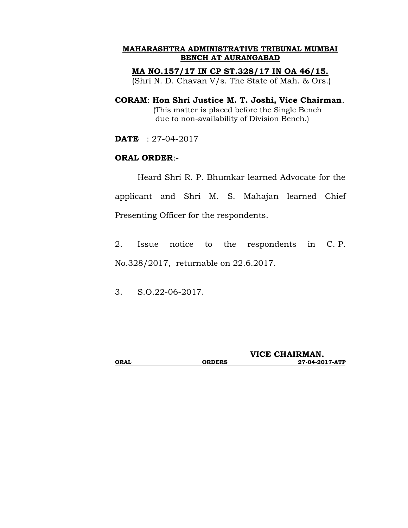### **MA NO.157/17 IN CP ST.328/17 IN OA 46/15.**

(Shri N. D. Chavan V/s. The State of Mah. & Ors.)

# **CORAM**: **Hon Shri Justice M. T. Joshi, Vice Chairman**. (This matter is placed before the Single Bench due to non-availability of Division Bench.)

**DATE** : 27-04-2017

# **ORAL ORDER**:-

Heard Shri R. P. Bhumkar learned Advocate for the applicant and Shri M. S. Mahajan learned Chief Presenting Officer for the respondents.

2. Issue notice to the respondents in C. P. No.328/2017, returnable on 22.6.2017.

3. S.O.22-06-2017.

|      |               | VICE CHAIRMAN. |
|------|---------------|----------------|
| ORAL | <b>ORDERS</b> | 27-04-2017-ATP |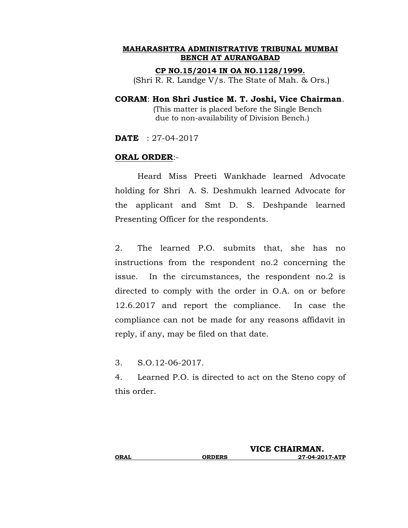#### **CP NO.15/2014 IN OA NO.1128/1999.**

(Shri R. R. Landge V/s. The State of Mah. & Ors.)

**CORAM**: **Hon Shri Justice M. T. Joshi, Vice Chairman**. (This matter is placed before the Single Bench due to non-availability of Division Bench.)

**DATE** : 27-04-2017

### **ORAL ORDER**:-

Heard Miss Preeti Wankhade learned Advocate holding for Shri A. S. Deshmukh learned Advocate for the applicant and Smt D. S. Deshpande learned Presenting Officer for the respondents.

2. The learned P.O. submits that, she has no instructions from the respondent no.2 concerning the issue. In the circumstances, the respondent no.2 is directed to comply with the order in O.A. on or before 12.6.2017 and report the compliance. In case the compliance can not be made for any reasons affidavit in reply, if any, may be filed on that date.

3. S.O.12-06-2017.

4. Learned P.O. is directed to act on the Steno copy of this order.

|      | VICE CHAIRMAN. |                |
|------|----------------|----------------|
| ORAL | <b>ORDERS</b>  | 27-04-2017-ATP |

<u>----- ----------</u>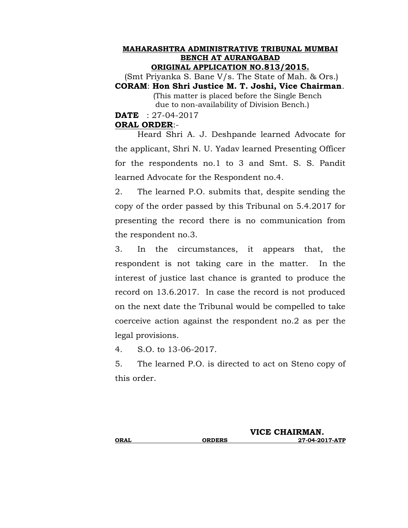#### **MAHARASHTRA ADMINISTRATIVE TRIBUNAL MUMBAI BENCH AT AURANGABAD ORIGINAL APPLICATION NO.813/2015.**

(Smt Priyanka S. Bane V/s. The State of Mah. & Ors.) **CORAM**: **Hon Shri Justice M. T. Joshi, Vice Chairman**. (This matter is placed before the Single Bench due to non-availability of Division Bench.)

**DATE** : 27-04-2017

# **ORAL ORDER**:-

Heard Shri A. J. Deshpande learned Advocate for the applicant, Shri N. U. Yadav learned Presenting Officer for the respondents no.1 to 3 and Smt. S. S. Pandit learned Advocate for the Respondent no.4.

2. The learned P.O. submits that, despite sending the copy of the order passed by this Tribunal on 5.4.2017 for presenting the record there is no communication from the respondent no.3.

3. In the circumstances, it appears that, the respondent is not taking care in the matter. In the interest of justice last chance is granted to produce the record on 13.6.2017. In case the record is not produced on the next date the Tribunal would be compelled to take coerceive action against the respondent no.2 as per the legal provisions.

4. S.O. to 13-06-2017.

5. The learned P.O. is directed to act on Steno copy of this order.

|      |               | VICE CHAIRMAN. |
|------|---------------|----------------|
| ORAL | <b>ORDERS</b> | 27-04-2017-ATP |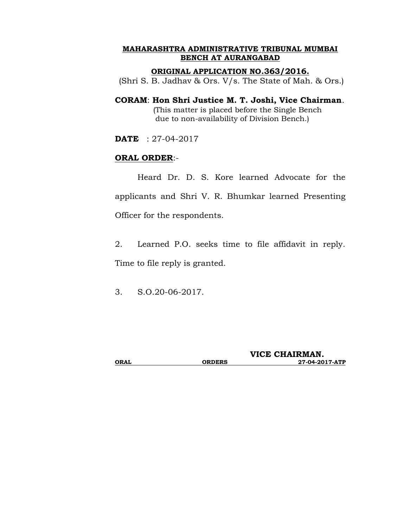### **ORIGINAL APPLICATION NO.363/2016.**

(Shri S. B. Jadhav & Ors. V/s. The State of Mah. & Ors.)

# **CORAM**: **Hon Shri Justice M. T. Joshi, Vice Chairman**. (This matter is placed before the Single Bench due to non-availability of Division Bench.)

**DATE** : 27-04-2017

# **ORAL ORDER**:-

Heard Dr. D. S. Kore learned Advocate for the applicants and Shri V. R. Bhumkar learned Presenting Officer for the respondents.

2. Learned P.O. seeks time to file affidavit in reply. Time to file reply is granted.

3. S.O.20-06-2017.

|      |               | VICE CHAIRMAN. |
|------|---------------|----------------|
| ORAL | <b>ORDERS</b> | 27-04-2017-ATP |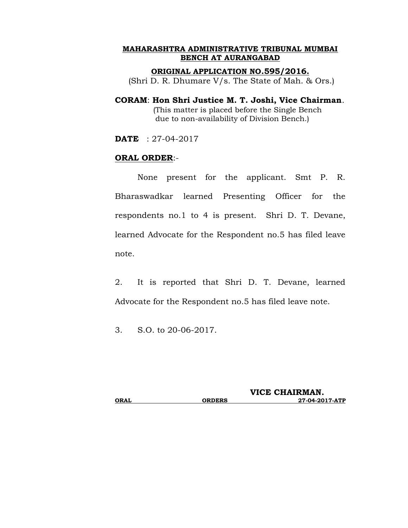#### **ORIGINAL APPLICATION NO.595/2016.**

(Shri D. R. Dhumare V/s. The State of Mah. & Ors.)

# **CORAM**: **Hon Shri Justice M. T. Joshi, Vice Chairman**. (This matter is placed before the Single Bench due to non-availability of Division Bench.)

**DATE** : 27-04-2017

#### **ORAL ORDER**:-

None present for the applicant. Smt P. R. Bharaswadkar learned Presenting Officer for the respondents no.1 to 4 is present. Shri D. T. Devane, learned Advocate for the Respondent no.5 has filed leave note.

2. It is reported that Shri D. T. Devane, learned Advocate for the Respondent no.5 has filed leave note.

3. S.O. to 20-06-2017.

|      |               | VICE CHAIRMAN. |
|------|---------------|----------------|
| ORAL | <b>ORDERS</b> | 27-04-2017-ATP |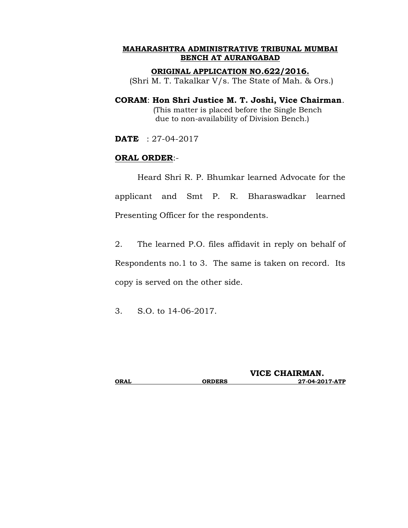#### **ORIGINAL APPLICATION NO.622/2016.**

(Shri M. T. Takalkar V/s. The State of Mah. & Ors.)

# **CORAM**: **Hon Shri Justice M. T. Joshi, Vice Chairman**. (This matter is placed before the Single Bench due to non-availability of Division Bench.)

**DATE** : 27-04-2017

#### **ORAL ORDER**:-

Heard Shri R. P. Bhumkar learned Advocate for the applicant and Smt P. R. Bharaswadkar learned Presenting Officer for the respondents.

2. The learned P.O. files affidavit in reply on behalf of Respondents no.1 to 3. The same is taken on record. Its copy is served on the other side.

3. S.O. to 14-06-2017.

|      |               | VICE CHAIRMAN. |
|------|---------------|----------------|
| ORAL | <b>ORDERS</b> | 27-04-2017-ATP |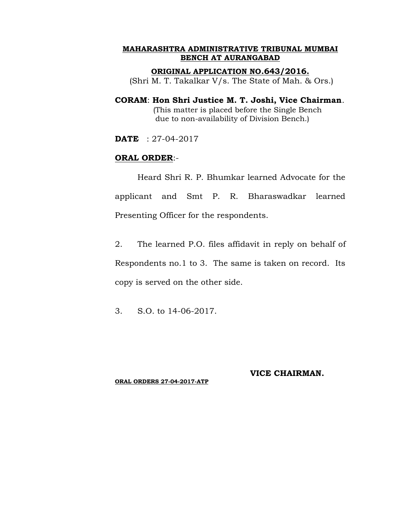#### **ORIGINAL APPLICATION NO.643/2016.**

(Shri M. T. Takalkar V/s. The State of Mah. & Ors.)

# **CORAM**: **Hon Shri Justice M. T. Joshi, Vice Chairman**. (This matter is placed before the Single Bench due to non-availability of Division Bench.)

**DATE** : 27-04-2017

#### **ORAL ORDER**:-

Heard Shri R. P. Bhumkar learned Advocate for the applicant and Smt P. R. Bharaswadkar learned Presenting Officer for the respondents.

2. The learned P.O. files affidavit in reply on behalf of Respondents no.1 to 3. The same is taken on record. Its copy is served on the other side.

3. S.O. to 14-06-2017.

#### **ORAL ORDERS 27-04-2017-ATP**

#### **VICE CHAIRMAN.**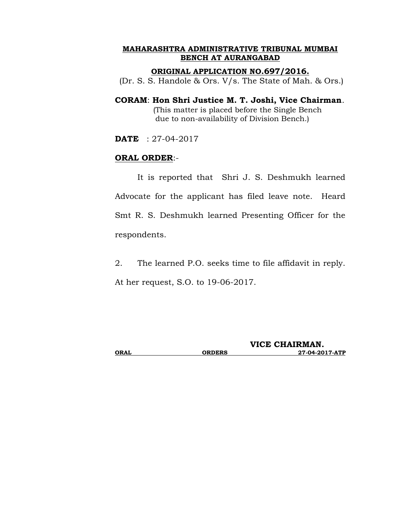### **ORIGINAL APPLICATION NO.697/2016.**

(Dr. S. S. Handole & Ors. V/s. The State of Mah. & Ors.)

# **CORAM**: **Hon Shri Justice M. T. Joshi, Vice Chairman**. (This matter is placed before the Single Bench due to non-availability of Division Bench.)

**DATE** : 27-04-2017

#### **ORAL ORDER**:-

It is reported that Shri J. S. Deshmukh learned Advocate for the applicant has filed leave note. Heard Smt R. S. Deshmukh learned Presenting Officer for the respondents.

2. The learned P.O. seeks time to file affidavit in reply. At her request, S.O. to 19-06-2017.

|      |               | VICE CHAIRMAN. |
|------|---------------|----------------|
| ORAL | <b>ORDERS</b> | 27-04-2017-ATP |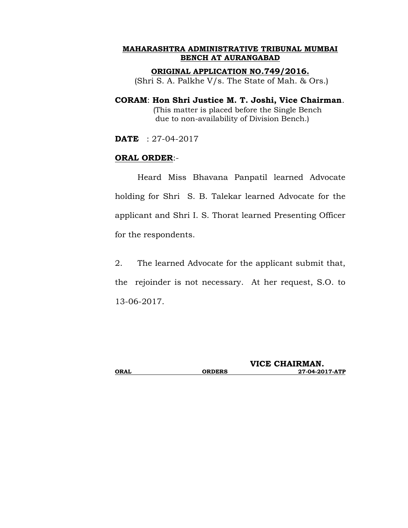#### **ORIGINAL APPLICATION NO.749/2016.**

(Shri S. A. Palkhe V/s. The State of Mah. & Ors.)

**CORAM**: **Hon Shri Justice M. T. Joshi, Vice Chairman**. (This matter is placed before the Single Bench due to non-availability of Division Bench.)

**DATE** : 27-04-2017

#### **ORAL ORDER**:-

Heard Miss Bhavana Panpatil learned Advocate holding for Shri S. B. Talekar learned Advocate for the applicant and Shri I. S. Thorat learned Presenting Officer for the respondents.

2. The learned Advocate for the applicant submit that, the rejoinder is not necessary. At her request, S.O. to 13-06-2017.

|             | VICE CHAIRMAN. |                |
|-------------|----------------|----------------|
| <b>ORAL</b> | <b>ORDERS</b>  | 27-04-2017-ATP |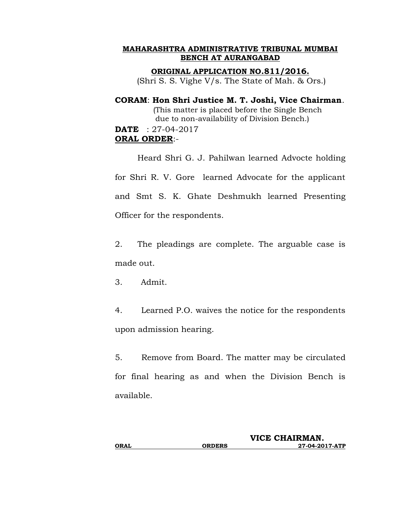#### **ORIGINAL APPLICATION NO.811/2016.**

(Shri S. S. Vighe V/s. The State of Mah. & Ors.)

# **CORAM**: **Hon Shri Justice M. T. Joshi, Vice Chairman**. (This matter is placed before the Single Bench due to non-availability of Division Bench.) **DATE** : 27-04-2017 **ORAL ORDER**:-

Heard Shri G. J. Pahilwan learned Advocte holding for Shri R. V. Gore learned Advocate for the applicant and Smt S. K. Ghate Deshmukh learned Presenting Officer for the respondents.

2. The pleadings are complete. The arguable case is made out.

3. Admit.

4. Learned P.O. waives the notice for the respondents upon admission hearing.

5. Remove from Board. The matter may be circulated for final hearing as and when the Division Bench is available.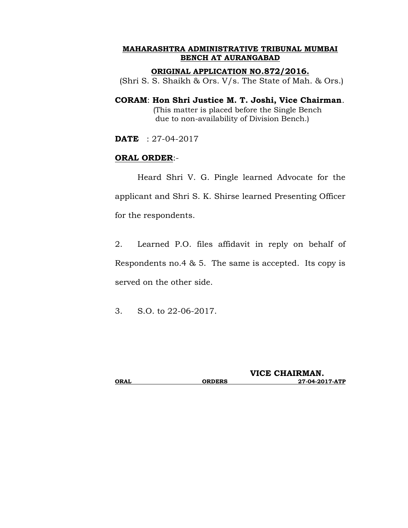#### **ORIGINAL APPLICATION NO.872/2016.**

(Shri S. S. Shaikh & Ors. V/s. The State of Mah. & Ors.)

# **CORAM**: **Hon Shri Justice M. T. Joshi, Vice Chairman**. (This matter is placed before the Single Bench due to non-availability of Division Bench.)

**DATE** : 27-04-2017

# **ORAL ORDER**:-

Heard Shri V. G. Pingle learned Advocate for the applicant and Shri S. K. Shirse learned Presenting Officer for the respondents.

2. Learned P.O. files affidavit in reply on behalf of Respondents no.4 & 5. The same is accepted. Its copy is served on the other side.

3. S.O. to 22-06-2017.

|      |               | VICE CHAIRMAN. |
|------|---------------|----------------|
| ORAL | <b>ORDERS</b> | 27-04-2017-ATP |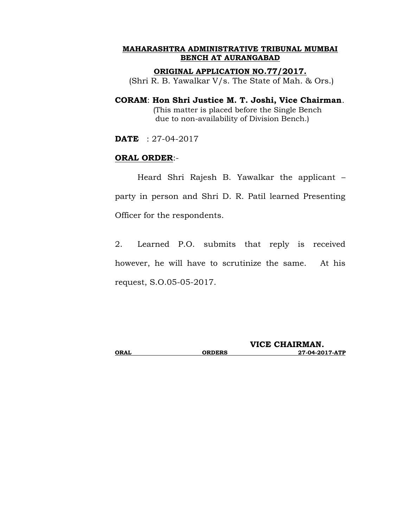### **ORIGINAL APPLICATION NO.77/2017.**

(Shri R. B. Yawalkar V/s. The State of Mah. & Ors.)

# **CORAM**: **Hon Shri Justice M. T. Joshi, Vice Chairman**. (This matter is placed before the Single Bench due to non-availability of Division Bench.)

**DATE** : 27-04-2017

# **ORAL ORDER**:-

Heard Shri Rajesh B. Yawalkar the applicant – party in person and Shri D. R. Patil learned Presenting Officer for the respondents.

2. Learned P.O. submits that reply is received however, he will have to scrutinize the same. At his request, S.O.05-05-2017.

|      |               | VICE CHAIRMAN. |
|------|---------------|----------------|
| ORAL | <b>ORDERS</b> | 27-04-2017-ATP |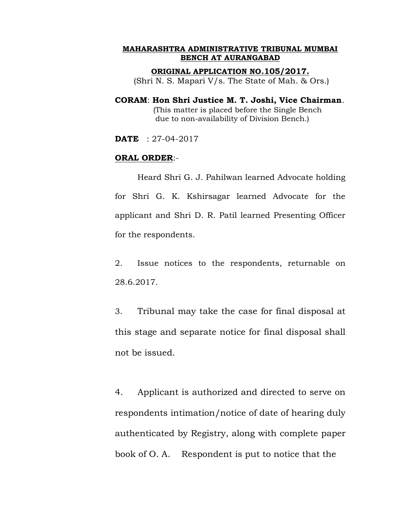#### **ORIGINAL APPLICATION NO.105/2017.**

(Shri N. S. Mapari V/s. The State of Mah. & Ors.)

**CORAM**: **Hon Shri Justice M. T. Joshi, Vice Chairman**. (This matter is placed before the Single Bench due to non-availability of Division Bench.)

**DATE** : 27-04-2017

#### **ORAL ORDER**:-

Heard Shri G. J. Pahilwan learned Advocate holding for Shri G. K. Kshirsagar learned Advocate for the applicant and Shri D. R. Patil learned Presenting Officer for the respondents.

2. Issue notices to the respondents, returnable on 28.6.2017.

3. Tribunal may take the case for final disposal at this stage and separate notice for final disposal shall not be issued.

4. Applicant is authorized and directed to serve on respondents intimation/notice of date of hearing duly authenticated by Registry, along with complete paper book of O. A. Respondent is put to notice that the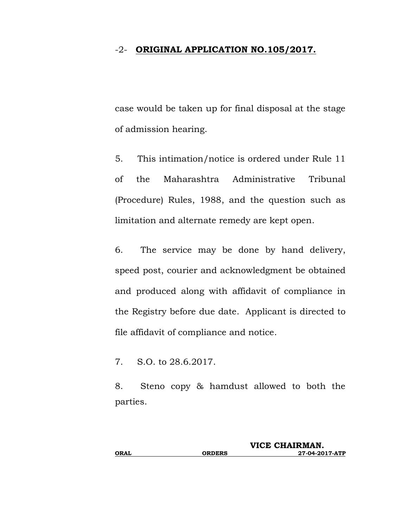# -2- **ORIGINAL APPLICATION NO.105/2017.**

case would be taken up for final disposal at the stage of admission hearing.

5. This intimation/notice is ordered under Rule 11 of the Maharashtra Administrative Tribunal (Procedure) Rules, 1988, and the question such as limitation and alternate remedy are kept open.

6. The service may be done by hand delivery, speed post, courier and acknowledgment be obtained and produced along with affidavit of compliance in the Registry before due date. Applicant is directed to file affidavit of compliance and notice.

7. S.O. to 28.6.2017.

8. Steno copy & hamdust allowed to both the parties.

|      | VICE CHAIRMAN. |                |
|------|----------------|----------------|
| ORAL | <b>ORDERS</b>  | 27-04-2017-ATP |

**VICE CHAIRMAN.**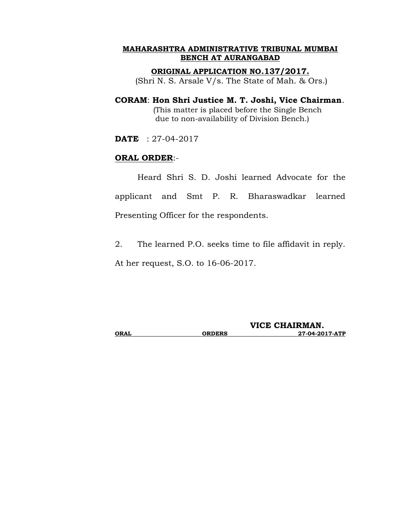#### **ORIGINAL APPLICATION NO.137/2017.**

(Shri N. S. Arsale V/s. The State of Mah. & Ors.)

# **CORAM**: **Hon Shri Justice M. T. Joshi, Vice Chairman**. (This matter is placed before the Single Bench due to non-availability of Division Bench.)

**DATE** : 27-04-2017

### **ORAL ORDER**:-

Heard Shri S. D. Joshi learned Advocate for the applicant and Smt P. R. Bharaswadkar learned Presenting Officer for the respondents.

2. The learned P.O. seeks time to file affidavit in reply.

At her request, S.O. to 16-06-2017.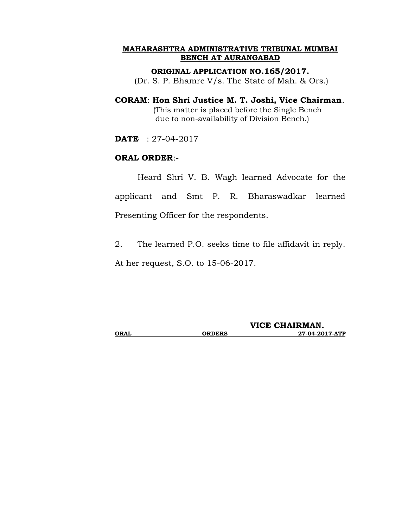#### **ORIGINAL APPLICATION NO.165/2017.**

(Dr. S. P. Bhamre V/s. The State of Mah. & Ors.)

# **CORAM**: **Hon Shri Justice M. T. Joshi, Vice Chairman**. (This matter is placed before the Single Bench due to non-availability of Division Bench.)

**DATE** : 27-04-2017

# **ORAL ORDER**:-

Heard Shri V. B. Wagh learned Advocate for the applicant and Smt P. R. Bharaswadkar learned Presenting Officer for the respondents.

2. The learned P.O. seeks time to file affidavit in reply.

At her request, S.O. to 15-06-2017.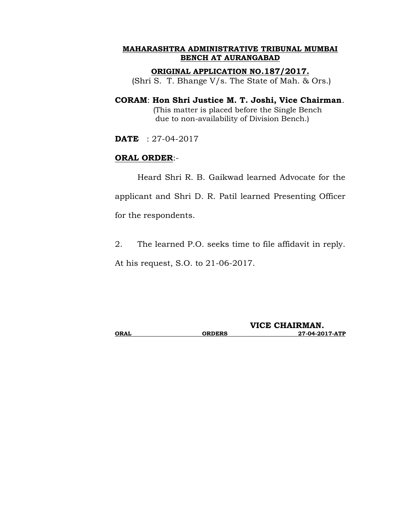#### **ORIGINAL APPLICATION NO.187/2017.**

(Shri S. T. Bhange V/s. The State of Mah. & Ors.)

# **CORAM**: **Hon Shri Justice M. T. Joshi, Vice Chairman**. (This matter is placed before the Single Bench due to non-availability of Division Bench.)

**DATE** : 27-04-2017

# **ORAL ORDER**:-

Heard Shri R. B. Gaikwad learned Advocate for the applicant and Shri D. R. Patil learned Presenting Officer for the respondents.

2. The learned P.O. seeks time to file affidavit in reply.

At his request, S.O. to 21-06-2017.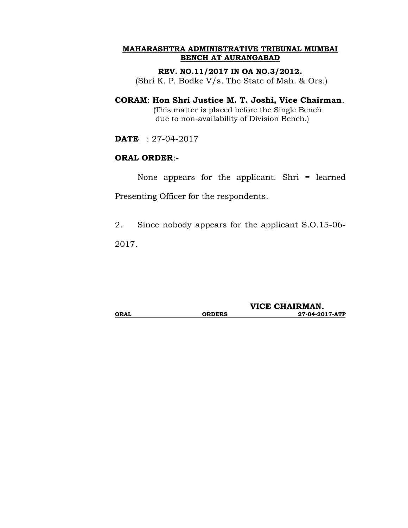#### **REV. NO.11/2017 IN OA NO.3/2012.**

(Shri K. P. Bodke V/s. The State of Mah. & Ors.)

### **CORAM**: **Hon Shri Justice M. T. Joshi, Vice Chairman**. (This matter is placed before the Single Bench due to non-availability of Division Bench.)

**DATE** : 27-04-2017

# **ORAL ORDER**:-

None appears for the applicant. Shri = learned Presenting Officer for the respondents.

2. Since nobody appears for the applicant S.O.15-06-

2017.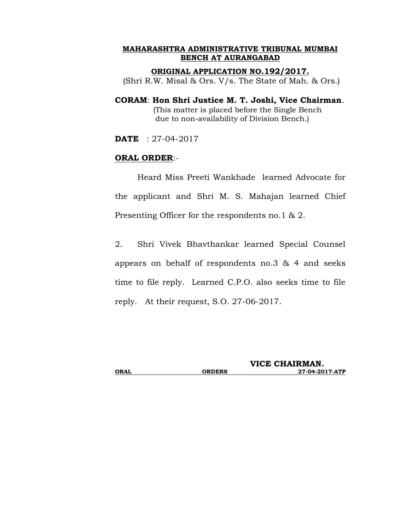#### **ORIGINAL APPLICATION NO.192/2017.**

(Shri R.W. Misal & Ors. V/s. The State of Mah. & Ors.)

# **CORAM**: **Hon Shri Justice M. T. Joshi, Vice Chairman**. (This matter is placed before the Single Bench due to non-availability of Division Bench.)

**DATE** : 27-04-2017

#### **ORAL ORDER**:-

Heard Miss Preeti Wankhade learned Advocate for the applicant and Shri M. S. Mahajan learned Chief Presenting Officer for the respondents no.1 & 2.

2. Shri Vivek Bhavthankar learned Special Counsel appears on behalf of respondents no.3 & 4 and seeks time to file reply. Learned C.P.O. also seeks time to file reply. At their request, S.O. 27-06-2017.

|             | VICE CHAIRMAN. |                |
|-------------|----------------|----------------|
| <b>ORAL</b> | <b>ORDERS</b>  | 27-04-2017-ATP |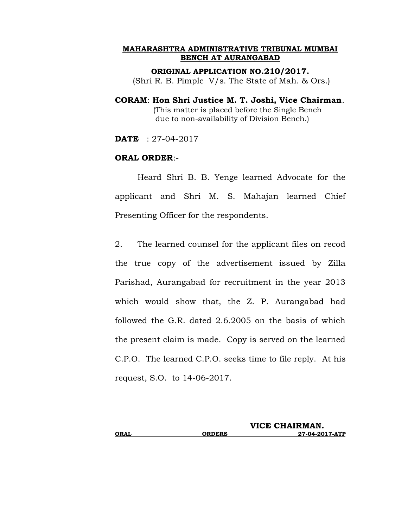#### **ORIGINAL APPLICATION NO.210/2017.**

(Shri R. B. Pimple V/s. The State of Mah. & Ors.)

# **CORAM**: **Hon Shri Justice M. T. Joshi, Vice Chairman**. (This matter is placed before the Single Bench due to non-availability of Division Bench.)

**DATE** : 27-04-2017

#### **ORAL ORDER**:-

Heard Shri B. B. Yenge learned Advocate for the applicant and Shri M. S. Mahajan learned Chief Presenting Officer for the respondents.

2. The learned counsel for the applicant files on recod the true copy of the advertisement issued by Zilla Parishad, Aurangabad for recruitment in the year 2013 which would show that, the Z. P. Aurangabad had followed the G.R. dated 2.6.2005 on the basis of which the present claim is made. Copy is served on the learned C.P.O. The learned C.P.O. seeks time to file reply. At his request, S.O. to 14-06-2017.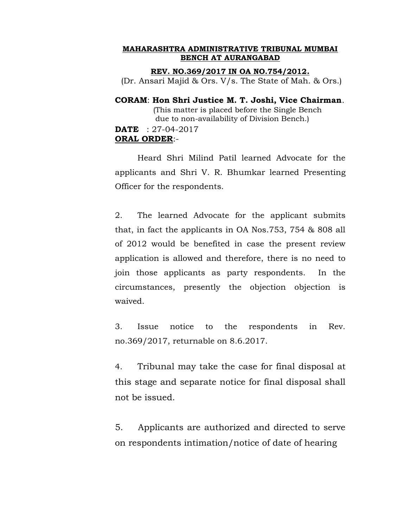#### **REV. NO.369/2017 IN OA NO.754/2012.**

(Dr. Ansari Majid & Ors. V/s. The State of Mah. & Ors.)

# **CORAM**: **Hon Shri Justice M. T. Joshi, Vice Chairman**.

(This matter is placed before the Single Bench due to non-availability of Division Bench.)

### **DATE** : 27-04-2017 **ORAL ORDER**:-

Heard Shri Milind Patil learned Advocate for the applicants and Shri V. R. Bhumkar learned Presenting Officer for the respondents.

2. The learned Advocate for the applicant submits that, in fact the applicants in OA Nos.753, 754 & 808 all of 2012 would be benefited in case the present review application is allowed and therefore, there is no need to join those applicants as party respondents. In the circumstances, presently the objection objection is waived.

3. Issue notice to the respondents in Rev. no.369/2017, returnable on 8.6.2017.

4. Tribunal may take the case for final disposal at this stage and separate notice for final disposal shall not be issued.

5. Applicants are authorized and directed to serve on respondents intimation/notice of date of hearing